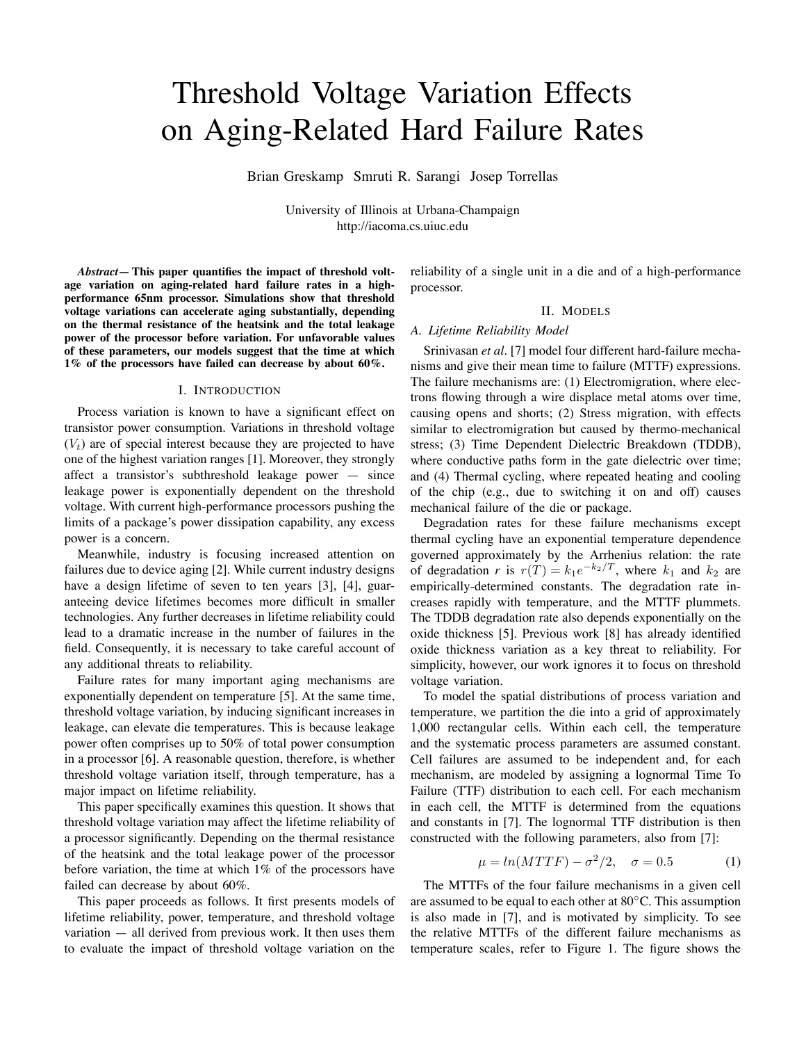# Threshold Voltage Variation Effects on Aging-Related Hard Failure Rates

Brian Greskamp Smruti R. Sarangi Josep Torrellas

University of Illinois at Urbana-Champaign http://iacoma.cs.uiuc.edu

*Abstract***— This paper quantifies the impact of threshold voltage variation on aging-related hard failure rates in a highperformance 65nm processor. Simulations show that threshold voltage variations can accelerate aging substantially, depending on the thermal resistance of the heatsink and the total leakage power of the processor before variation. For unfavorable values of these parameters, our models suggest that the time at which 1% of the processors have failed can decrease by about 60%.**

#### I. INTRODUCTION

Process variation is known to have a significant effect on transistor power consumption. Variations in threshold voltage  $(V<sub>t</sub>)$  are of special interest because they are projected to have one of the highest variation ranges [1]. Moreover, they strongly affect a transistor's subthreshold leakage power — since leakage power is exponentially dependent on the threshold voltage. With current high-performance processors pushing the limits of a package's power dissipation capability, any excess power is a concern.

Meanwhile, industry is focusing increased attention on failures due to device aging [2]. While current industry designs have a design lifetime of seven to ten years [3], [4], guaranteeing device lifetimes becomes more difficult in smaller technologies. Any further decreases in lifetime reliability could lead to a dramatic increase in the number of failures in the field. Consequently, it is necessary to take careful account of any additional threats to reliability.

Failure rates for many important aging mechanisms are exponentially dependent on temperature [5]. At the same time, threshold voltage variation, by inducing significant increases in leakage, can elevate die temperatures. This is because leakage power often comprises up to 50% of total power consumption in a processor [6]. A reasonable question, therefore, is whether threshold voltage variation itself, through temperature, has a major impact on lifetime reliability.

This paper specifically examines this question. It shows that threshold voltage variation may affect the lifetime reliability of a processor significantly. Depending on the thermal resistance of the heatsink and the total leakage power of the processor before variation, the time at which 1% of the processors have failed can decrease by about 60%.

This paper proceeds as follows. It first presents models of lifetime reliability, power, temperature, and threshold voltage variation — all derived from previous work. It then uses them to evaluate the impact of threshold voltage variation on the

reliability of a single unit in a die and of a high-performance processor.

# II. MODELS

# *A. Lifetime Reliability Model*

Srinivasan *et al.* [7] model four different hard-failure mechanisms and give their mean time to failure (MTTF) expressions. The failure mechanisms are: (1) Electromigration, where electrons flowing through a wire displace metal atoms over time, causing opens and shorts; (2) Stress migration, with effects similar to electromigration but caused by thermo-mechanical stress; (3) Time Dependent Dielectric Breakdown (TDDB), where conductive paths form in the gate dielectric over time; and (4) Thermal cycling, where repeated heating and cooling of the chip (e.g., due to switching it on and off) causes mechanical failure of the die or package.

Degradation rates for these failure mechanisms except thermal cycling have an exponential temperature dependence governed approximately by the Arrhenius relation: the rate of degradation *r* is  $r(T) = k_1 e^{-k_2/T}$ , where  $k_1$  and  $k_2$  are empirically-determined constants. The degradation rate increases rapidly with temperature, and the MTTF plummets. The TDDB degradation rate also depends exponentially on the oxide thickness [5]. Previous work [8] has already identified oxide thickness variation as a key threat to reliability. For simplicity, however, our work ignores it to focus on threshold voltage variation.

To model the spatial distributions of process variation and temperature, we partition the die into a grid of approximately 1,000 rectangular cells. Within each cell, the temperature and the systematic process parameters are assumed constant. Cell failures are assumed to be independent and, for each mechanism, are modeled by assigning a lognormal Time To Failure (TTF) distribution to each cell. For each mechanism in each cell, the MTTF is determined from the equations and constants in [7]. The lognormal TTF distribution is then constructed with the following parameters, also from [7]:

$$
\mu = \ln(MTTF) - \sigma^2/2, \quad \sigma = 0.5 \tag{1}
$$

The MTTFs of the four failure mechanisms in a given cell are assumed to be equal to each other at 80◦C. This assumption is also made in [7], and is motivated by simplicity. To see the relative MTTFs of the different failure mechanisms as temperature scales, refer to Figure 1. The figure shows the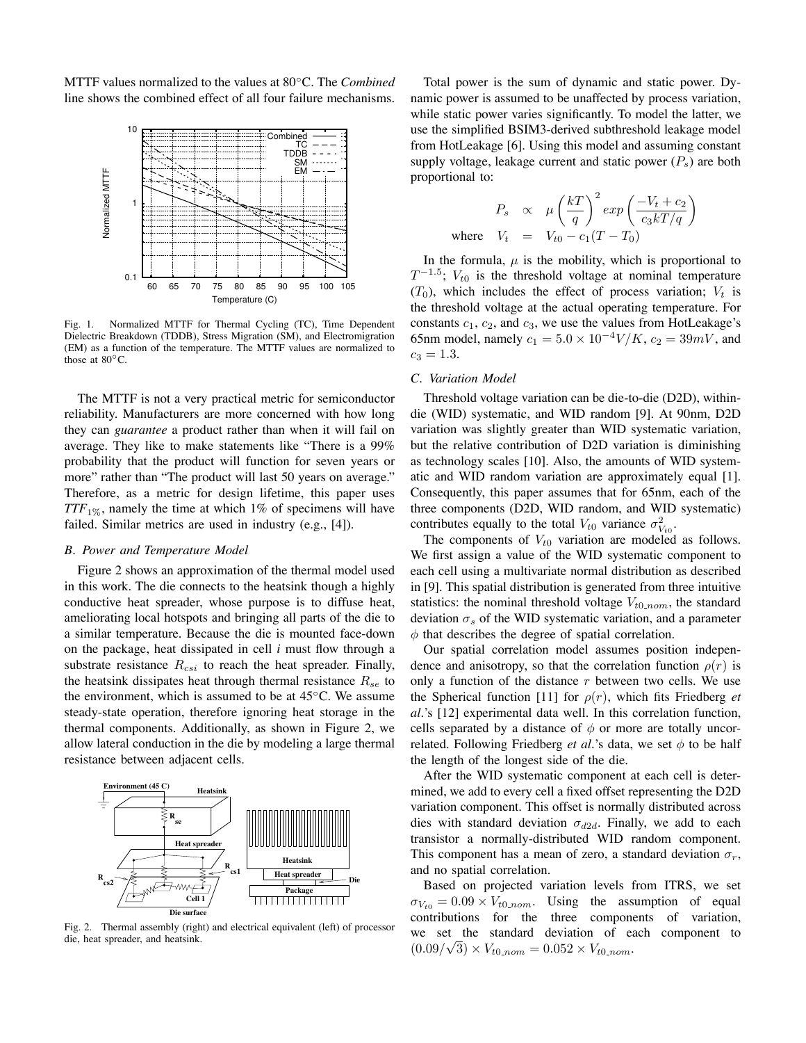MTTF values normalized to the values at 80◦C. The *Combined* line shows the combined effect of all four failure mechanisms.



Fig. 1. Normalized MTTF for Thermal Cycling (TC), Time Dependent Dielectric Breakdown (TDDB), Stress Migration (SM), and Electromigration (EM) as a function of the temperature. The MTTF values are normalized to those at  $80^{\circ}$ C.

The MTTF is not a very practical metric for semiconductor reliability. Manufacturers are more concerned with how long they can *guarantee* a product rather than when it will fail on average. They like to make statements like "There is a 99% probability that the product will function for seven years or more" rather than "The product will last 50 years on average." Therefore, as a metric for design lifetime, this paper uses  $TTF_{1\%}$ , namely the time at which 1% of specimens will have failed. Similar metrics are used in industry (e.g., [4]).

### *B. Power and Temperature Model*

Figure 2 shows an approximation of the thermal model used in this work. The die connects to the heatsink though a highly conductive heat spreader, whose purpose is to diffuse heat, ameliorating local hotspots and bringing all parts of the die to a similar temperature. Because the die is mounted face-down on the package, heat dissipated in cell *i* must flow through a substrate resistance  $R_{csi}$  to reach the heat spreader. Finally, the heatsink dissipates heat through thermal resistance  $R_{se}$  to the environment, which is assumed to be at  $45^{\circ}$ C. We assume steady-state operation, therefore ignoring heat storage in the thermal components. Additionally, as shown in Figure 2, we allow lateral conduction in the die by modeling a large thermal resistance between adjacent cells.



Fig. 2. Thermal assembly (right) and electrical equivalent (left) of processor die, heat spreader, and heatsink.

Total power is the sum of dynamic and static power. Dynamic power is assumed to be unaffected by process variation, while static power varies significantly. To model the latter, we use the simplified BSIM3-derived subthreshold leakage model from HotLeakage [6]. Using this model and assuming constant supply voltage, leakage current and static power  $(P_s)$  are both proportional to:

$$
P_s \propto \mu \left(\frac{kT}{q}\right)^2 exp\left(\frac{-V_t + c_2}{c_3 kT/q}\right)
$$
  
where  $V_t = V_{t0} - c_1 (T - T_0)$ 

In the formula,  $\mu$  is the mobility, which is proportional to  $T^{-1.5}$ ;  $V_{t0}$  is the threshold voltage at nominal temperature  $(T_0)$ , which includes the effect of process variation;  $V_t$  is the threshold voltage at the actual operating temperature. For constants  $c_1$ ,  $c_2$ , and  $c_3$ , we use the values from HotLeakage's 65nm model, namely  $c_1 = 5.0 \times 10^{-4} V/K$ ,  $c_2 = 39mV$ , and  $c_3 = 1.3.$ 

# *C. Variation Model*

Threshold voltage variation can be die-to-die (D2D), withindie (WID) systematic, and WID random [9]. At 90nm, D2D variation was slightly greater than WID systematic variation, but the relative contribution of D2D variation is diminishing as technology scales [10]. Also, the amounts of WID systematic and WID random variation are approximately equal [1]. Consequently, this paper assumes that for 65nm, each of the three components (D2D, WID random, and WID systematic) contributes equally to the total  $V_{t0}$  variance  $\sigma_{V_{t0}}^2$ .

The components of  $V_{t0}$  variation are modeled as follows. We first assign a value of the WID systematic component to each cell using a multivariate normal distribution as described in [9]. This spatial distribution is generated from three intuitive statistics: the nominal threshold voltage  $V_{t0,nom}$ , the standard deviation  $\sigma_s$  of the WID systematic variation, and a parameter  $\phi$  that describes the degree of spatial correlation.

Our spatial correlation model assumes position independence and anisotropy, so that the correlation function  $\rho(r)$  is only a function of the distance  $r$  between two cells. We use the Spherical function [11] for  $\rho(r)$ , which fits Friedberg *et al.*'s [12] experimental data well. In this correlation function, cells separated by a distance of  $\phi$  or more are totally uncorrelated. Following Friedberg *et al.*'s data, we set  $\phi$  to be half the length of the longest side of the die.

After the WID systematic component at each cell is determined, we add to every cell a fixed offset representing the D2D variation component. This offset is normally distributed across dies with standard deviation  $\sigma_{d2d}$ . Finally, we add to each transistor a normally-distributed WID random component. This component has a mean of zero, a standard deviation  $\sigma_r$ , and no spatial correlation.

Based on projected variation levels from ITRS, we set  $\sigma_{V_{t0}} = 0.09 \times V_{t0-nom}$ . Using the assumption of equal contributions for the three components of variation, we set the standard deviation of each component to  $(0.09/\sqrt{3}) \times V_{t0-nom} = 0.052 \times V_{t0-nom}$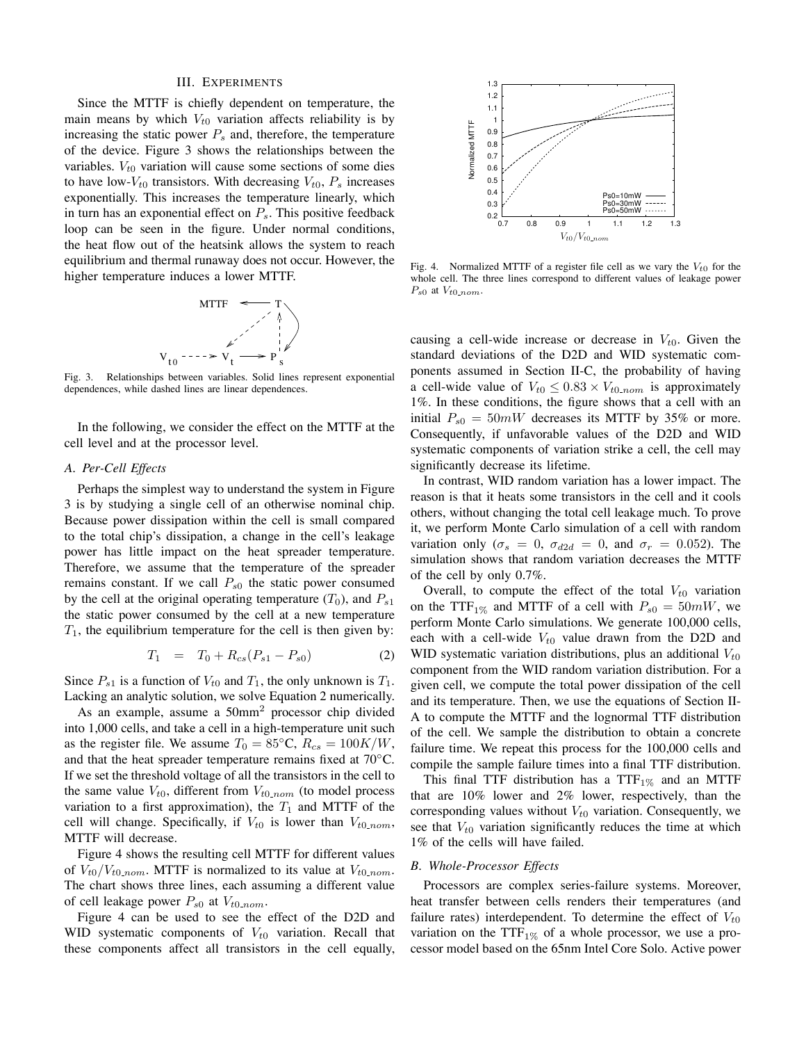#### III. EXPERIMENTS

Since the MTTF is chiefly dependent on temperature, the main means by which  $V_{t0}$  variation affects reliability is by increasing the static power  $P_s$  and, therefore, the temperature of the device. Figure 3 shows the relationships between the variables.  $V_{t0}$  variation will cause some sections of some dies to have low- $V_{t0}$  transistors. With decreasing  $V_{t0}$ ,  $P_s$  increases exponentially. This increases the temperature linearly, which in turn has an exponential effect on  $P_s$ . This positive feedback loop can be seen in the figure. Under normal conditions, the heat flow out of the heatsink allows the system to reach equilibrium and thermal runaway does not occur. However, the higher temperature induces a lower MTTF.



Fig. 3. Relationships between variables. Solid lines represent exponential dependences, while dashed lines are linear dependences.

In the following, we consider the effect on the MTTF at the cell level and at the processor level.

# *A. Per-Cell Effects*

Perhaps the simplest way to understand the system in Figure 3 is by studying a single cell of an otherwise nominal chip. Because power dissipation within the cell is small compared to the total chip's dissipation, a change in the cell's leakage power has little impact on the heat spreader temperature. Therefore, we assume that the temperature of the spreader remains constant. If we call  $P_{s0}$  the static power consumed by the cell at the original operating temperature  $(T_0)$ , and  $P_{s1}$ the static power consumed by the cell at a new temperature  $T_1$ , the equilibrium temperature for the cell is then given by:

$$
T_1 = T_0 + R_{cs}(P_{s1} - P_{s0}) \tag{2}
$$

Since  $P_{s1}$  is a function of  $V_{t0}$  and  $T_1$ , the only unknown is  $T_1$ . Lacking an analytic solution, we solve Equation 2 numerically.

As an example, assume a 50mm<sup>2</sup> processor chip divided into 1,000 cells, and take a cell in a high-temperature unit such as the register file. We assume  $T_0 = 85^{\circ}\text{C}, R_{cs} = 100K/W$ , and that the heat spreader temperature remains fixed at 70◦C. If we set the threshold voltage of all the transistors in the cell to the same value  $V_{t0}$ , different from  $V_{t0,nom}$  (to model process variation to a first approximation), the  $T_1$  and MTTF of the cell will change. Specifically, if  $V_{t0}$  is lower than  $V_{t0-nom}$ , MTTF will decrease.

Figure 4 shows the resulting cell MTTF for different values of  $V_{t0}/V_{t0-nom}$ . MTTF is normalized to its value at  $V_{t0-nom}$ . The chart shows three lines, each assuming a different value of cell leakage power  $P_{s0}$  at  $V_{t0-nom}$ .

Figure 4 can be used to see the effect of the D2D and WID systematic components of  $V_{t0}$  variation. Recall that these components affect all transistors in the cell equally,



Fig. 4. Normalized MTTF of a register file cell as we vary the  $V_{t0}$  for the whole cell. The three lines correspond to different values of leakage power  $P_{s0}$  at  $V_{t0-nom}$ .

causing a cell-wide increase or decrease in  $V_{t0}$ . Given the standard deviations of the D2D and WID systematic components assumed in Section II-C, the probability of having a cell-wide value of  $V_{t0} \leq 0.83 \times V_{t0-nom}$  is approximately 1%. In these conditions, the figure shows that a cell with an initial  $P_{s0} = 50mW$  decreases its MTTF by 35% or more. Consequently, if unfavorable values of the D2D and WID systematic components of variation strike a cell, the cell may significantly decrease its lifetime.

In contrast, WID random variation has a lower impact. The reason is that it heats some transistors in the cell and it cools others, without changing the total cell leakage much. To prove it, we perform Monte Carlo simulation of a cell with random variation only ( $\sigma_s = 0$ ,  $\sigma_{d2d} = 0$ , and  $\sigma_r = 0.052$ ). The simulation shows that random variation decreases the MTTF of the cell by only 0.7%.

Overall, to compute the effect of the total  $V_{t0}$  variation on the TTF<sub>1%</sub> and MTTF of a cell with  $P_{s0} = 50mW$ , we perform Monte Carlo simulations. We generate 100,000 cells, each with a cell-wide  $V_{t0}$  value drawn from the D2D and WID systematic variation distributions, plus an additional  $V_{t0}$ component from the WID random variation distribution. For a given cell, we compute the total power dissipation of the cell and its temperature. Then, we use the equations of Section II-A to compute the MTTF and the lognormal TTF distribution of the cell. We sample the distribution to obtain a concrete failure time. We repeat this process for the 100,000 cells and compile the sample failure times into a final TTF distribution.

This final TTF distribution has a  $TTF_{1\%}$  and an MTTF that are 10% lower and 2% lower, respectively, than the corresponding values without  $V_{t0}$  variation. Consequently, we see that  $V_{t0}$  variation significantly reduces the time at which 1% of the cells will have failed.

#### *B. Whole-Processor Effects*

Processors are complex series-failure systems. Moreover, heat transfer between cells renders their temperatures (and failure rates) interdependent. To determine the effect of  $V_{t0}$ variation on the  $TTF_{1\%}$  of a whole processor, we use a processor model based on the 65nm Intel Core Solo. Active power